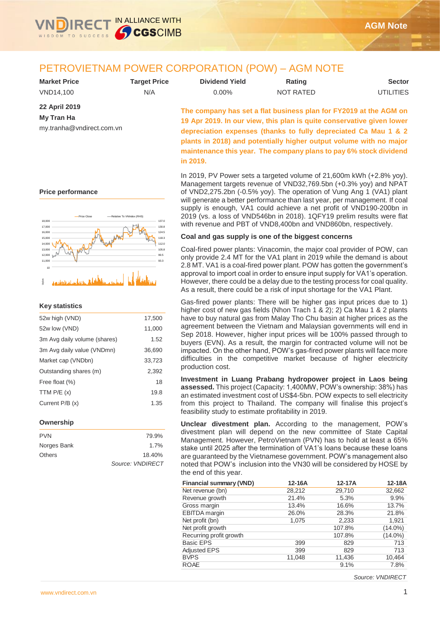

# PETROVIETNAM POWER CORPORATION (POW) – AGM NOTE

| <b>Market Price</b> | Tarqet Price | <b>Dividend Yield</b> | Rating    | <b>Sector</b>    |
|---------------------|--------------|-----------------------|-----------|------------------|
| VND14.100           | N/A          | 0.00%                 | NOT RATED | <b>UTILITIES</b> |

**22 April 2019 My Tran Ha**

my.tranha@vndirect.com.vn

**Price performance**



#### **Key statistics**

| 52w high (VND)               | 17,500 |
|------------------------------|--------|
| 52w low (VND)                | 11,000 |
| 3m Avg daily volume (shares) | 1.52   |
| 3m Avg daily value (VNDmn)   | 36,690 |
| Market cap (VNDbn)           | 33,723 |
| Outstanding shares (m)       | 2,392  |
| Free float (%)               | 18     |
| TTM $P/E(x)$                 | 19.8   |
| Current P/B (x)              | 1.35   |

#### **Ownership**

| <b>PVN</b>    | 79.9%            |
|---------------|------------------|
| Norges Bank   | 1.7%             |
| <b>Others</b> | 18.40%           |
|               | Source: VNDIRECT |

**The company has set a flat business plan for FY2019 at the AGM on 19 Apr 2019. In our view, this plan is quite conservative given lower depreciation expenses (thanks to fully depreciated Ca Mau 1 & 2 plants in 2018) and potentially higher output volume with no major maintenance this year. The company plans to pay 6% stock dividend in 2019.**

In 2019, PV Power sets a targeted volume of 21,600m kWh (+2.8% yoy). Management targets revenue of VND32,769.5bn (+0.3% yoy) and NPAT of VND2,275.2bn (-0.5% yoy). The operation of Vung Ang 1 (VA1) plant will generate a better performance than last year, per management. If coal supply is enough, VA1 could achieve a net profit of VND190-200bn in 2019 (vs. a loss of VND546bn in 2018). 1QFY19 prelim results were flat with revenue and PBT of VND8,400bn and VND860bn, respectively.

#### **Coal and gas supply is one of the biggest concerns**

Coal-fired power plants: Vinacomin, the major coal provider of POW, can only provide 2.4 MT for the VA1 plant in 2019 while the demand is about 2.8 MT. VA1 is a coal-fired power plant. POW has gotten the government's approval to import coal in order to ensure input supply for VA1's operation. However, there could be a delay due to the testing process for coal quality. As a result, there could be a risk of input shortage for the VA1 Plant.

Gas-fired power plants: There will be higher gas input prices due to 1) higher cost of new gas fields (Nhon Trach 1 & 2); 2) Ca Mau 1 & 2 plants have to buy natural gas from Malay Tho Chu basin at higher prices as the agreement between the Vietnam and Malaysian governments will end in Sep 2018. However, higher input prices will be 100% passed through to buyers (EVN). As a result, the margin for contracted volume will not be impacted. On the other hand, POW's gas-fired power plants will face more difficulties in the competitive market because of higher electricity production cost.

**Investment in Luang Prabang hydropower project in Laos being assessed.** This project (Capacity: 1,400MW, POW's ownership: 38%) has an estimated investment cost of US\$4-5bn. POW expects to sell electricity from this project to Thailand. The company will finalise this project's feasibility study to estimate profitability in 2019.

**Unclear divestment plan.** According to the management, POW's divestment plan will depend on the new committee of State Capital Management. However, PetroVietnam (PVN) has to hold at least a 65% stake until 2025 after the termination of VA1's loans because these loans are guaranteed by the Vietnamese government. POW's management also noted that POW's inclusion into the VN30 will be considered by HOSE by the end of this year.

| <b>Financial summary (VND)</b> | 12-16A | $12-17A$ | 12-18A     |
|--------------------------------|--------|----------|------------|
| Net revenue (bn)               | 28,212 | 29,710   | 32,662     |
| Revenue growth                 | 21.4%  | 5.3%     | 9.9%       |
| Gross margin                   | 13.4%  | 16.6%    | 13.7%      |
| <b>EBITDA</b> margin           | 26.0%  | 28.3%    | 21.8%      |
| Net profit (bn)                | 1,075  | 2,233    | 1.921      |
| Net profit growth              |        | 107.8%   | $(14.0\%)$ |
| Recurring profit growth        |        | 107.8%   | $(14.0\%)$ |
| <b>Basic EPS</b>               | 399    | 829      | 713        |
| <b>Adjusted EPS</b>            | 399    | 829      | 713        |
| <b>BVPS</b>                    | 11,048 | 11,436   | 10,464     |
| <b>ROAE</b>                    |        | 9.1%     | 7.8%       |

*Source: VNDIRECT*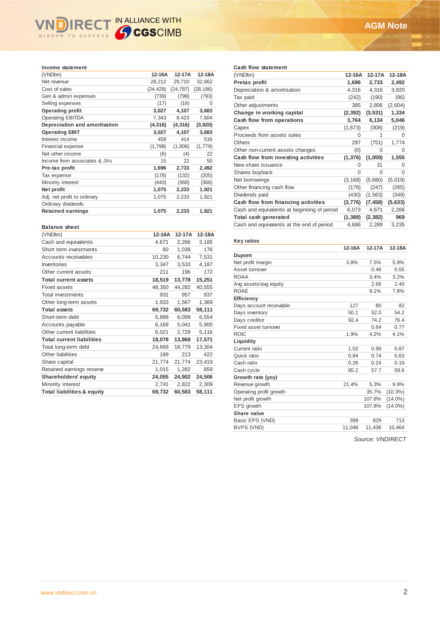# WINDIRECT IN ALLIANCE WITH

#### **Income statement**

| (VNDbn)                       | 12-16A    | 12-17A    | 12-18A    |
|-------------------------------|-----------|-----------|-----------|
| Net revenue                   | 28,212    | 29,710    | 32,662    |
| Cost of sales                 | (24, 429) | (24, 787) | (28, 186) |
| Gen & admin expenses          | (739)     | (799)     | (793)     |
| Selling expenses              | (17)      | (16)      | 0         |
| <b>Operating profit</b>       | 3,027     | 4,107     | 3,683     |
| <b>Operating EBITDA</b>       | 7,343     | 8,423     | 7,604     |
| Depreciation and amortisation | (4, 316)  | (4, 316)  | (3,920)   |
| <b>Operating EBIT</b>         | 3,027     | 4,107     | 3,683     |
| Interest income               | 459       | 414       | 516       |
| Financial expense             | (1,798)   | (1,806)   | (1,779)   |
| Net other income              | (6)       | (4)       | 22        |
| Income from associates & JVs  | 15        | 22        | 50        |
| Pre-tax profit                | 1,696     | 2,733     | 2,492     |
| Tax expense                   | (178)     | (132)     | (205)     |
| Minority interest             | (443)     | (368)     | (366)     |
| Net profit                    | 1,075     | 2,233     | 1,921     |
| Adj. net profit to ordinary   | 1,075     | 2,233     | 1,921     |
| Ordinary dividends            |           |           |           |
| <b>Retained earnings</b>      | 1,075     | 2,233     | 1,921     |

#### **Balance sheet**

| (VNDbn)                               | 12-16A | 12-17A | 12-18A |
|---------------------------------------|--------|--------|--------|
| Cash and equivalents                  | 4,671  | 2,266  | 3,185  |
| Short term investments                | 60     | 1,039  | 176    |
| Accounts receivables                  | 10,230 | 6,744  | 7,531  |
| Inventories                           | 3,347  | 3,533  | 4,187  |
| Other current assets                  | 211    | 196    | 172    |
| <b>Total current assets</b>           | 18,519 | 13,778 | 15,251 |
| <b>Fixed assets</b>                   | 48,350 | 44,282 | 40,555 |
| Total investments                     | 931    | 957    | 937    |
| Other long-term assets                | 1,933  | 1,567  | 1,369  |
| <b>Total assets</b>                   | 69,732 | 60,583 | 58,111 |
| Short-term debt                       | 5,888  | 6,099  | 6,554  |
| Accounts payable                      | 6,169  | 5,041  | 5,900  |
| Other current liabilities             | 6,021  | 2,729  | 5,116  |
| <b>Total current liabilities</b>      | 18,078 | 13,868 | 17,571 |
| Total long-term debt                  | 24,669 | 18,779 | 13,304 |
| Other liabilities                     | 189    | 213    | 422    |
| Share capital                         | 21,774 | 21,774 | 23,419 |
| Retained earnings reserve             | 1,015  | 1,282  | 859    |
| <b>Shareholders' equity</b>           | 24,055 | 24,902 | 24,506 |
| Minority interest                     | 2,741  | 2,822  | 2,309  |
| <b>Total liabilities &amp; equity</b> | 69,732 | 60,583 | 58,111 |

#### **Cash flow statement**

| (VNDbn)                                     | 12-16A   | 12-17A   | 12-18A   |
|---------------------------------------------|----------|----------|----------|
| Pretax profit                               | 1,696    | 2,733    | 2,492    |
| Depreciation & amortisation                 | 4,316    | 4,316    | 3,920    |
| Tax paid                                    | (242)    | (190)    | (96)     |
| Other adjustments                           | 385      | 2,806    | (2,604)  |
| Change in working capital                   | (2, 392) | (3, 531) | 1,334    |
| Cash flow from operations                   | 3,764    | 6,134    | 5,046    |
| Capex                                       | (1,673)  | (308)    | (219)    |
| Proceeds from assets sales                  | 0        | 1        | 0        |
| <b>Others</b>                               | 297      | (751)    | 1,774    |
| Other non-current assets changes            | (0)      | 0        | 0        |
| Cash flow from investing activities         | (1, 376) | (1,059)  | 1,555    |
| New share issuance                          | O        | 31       | $\Omega$ |
| Shares buyback                              | 0        | 0        | 0        |
| Net borrowings                              | (3, 168) | (5,680)  | (5,019)  |
| Other financing cash flow                   | (179)    | (247)    | (265)    |
| Dividends paid                              | (430)    | (1, 563) | (349)    |
| Cash flow from financing activities         | (3,776)  | (7, 458) | (5,633)  |
| Cash and equivalents at beginning of period | 6,073    | 4,671    | 2,266    |
| Total cash generated                        | (1,388)  | (2, 382) | 969      |
| Cash and equivalents at the end of period   | 4,686    | 2,289    | 3,235    |

#### **Key ratios**

| 12-16A | 12-17A | 12-18A     |
|--------|--------|------------|
|        |        |            |
| 3.8%   | 7.5%   | 5.9%       |
|        | 0.46   | 0.55       |
|        | 3.4%   | 3.2%       |
|        | 2.66   | 2.40       |
|        | 9.1%   | 7.8%       |
|        |        |            |
| 127    | 80     | 82         |
| 50.1   | 52.0   | 54.2       |
| 92.4   | 74.2   | 76.4       |
|        | 0.64   | 0.77       |
| 1.9%   | 4.2%   | 4.1%       |
|        |        |            |
| 1.02   | 0.99   | 0.87       |
| 0.84   | 0.74   | 0.63       |
| 0.26   | 0.24   | 0.19       |
| 85.2   | 57.7   | 59.6       |
|        |        |            |
| 21.4%  | 5.3%   | 9.9%       |
|        | 35.7%  | $(10.3\%)$ |
|        | 107.8% | $(14.0\%)$ |
|        | 107.8% | $(14.0\%)$ |
|        |        |            |
| 399    | 829    | 713        |
| 11,048 | 11,436 | 10.464     |
|        |        |            |

*Source: VNDIRECT*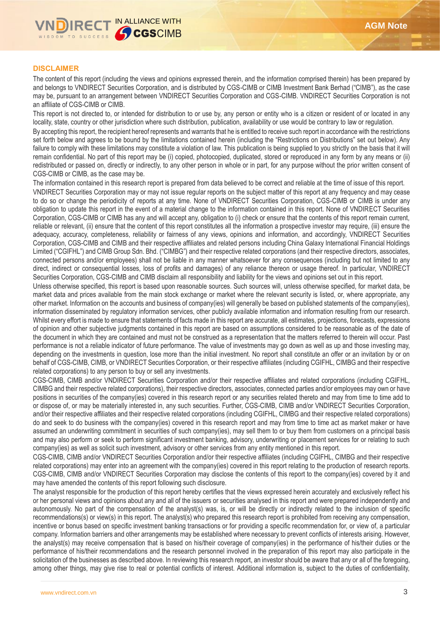

## **DISCLAIMER**

The content of this report (including the views and opinions expressed therein, and the information comprised therein) has been prepared by and belongs to VNDIRECT Securities Corporation, and is distributed by CGS-CIMB or CIMB Investment Bank Berhad ("CIMB"), as the case may be, pursuant to an arrangement between VNDIRECT Securities Corporation and CGS-CIMB. VNDIRECT Securities Corporation is not an affiliate of CGS-CIMB or CIMB.

This report is not directed to, or intended for distribution to or use by, any person or entity who is a citizen or resident of or located in any locality, state, country or other jurisdiction where such distribution, publication, availability or use would be contrary to law or regulation.

By accepting this report, the recipient hereof represents and warrants that he is entitled to receive such report in accordance with the restrictions set forth below and agrees to be bound by the limitations contained herein (including the "Restrictions on Distributions" set out below). Any failure to comply with these limitations may constitute a violation of law. This publication is being supplied to you strictly on the basis that it will remain confidential. No part of this report may be (i) copied, photocopied, duplicated, stored or reproduced in any form by any means or (ii) redistributed or passed on, directly or indirectly, to any other person in whole or in part, for any purpose without the prior written consent of CGS-CIMB or CIMB, as the case may be.

The information contained in this research report is prepared from data believed to be correct and reliable at the time of issue of this report.

VNDIRECT Securities Corporation may or may not issue regular reports on the subject matter of this report at any frequency and may cease to do so or change the periodicity of reports at any time. None of VNDIRECT Securities Corporation, CGS-CIMB or CIMB is under any obligation to update this report in the event of a material change to the information contained in this report. None of VNDIRECT Securities Corporation, CGS-CIMB or CIMB has any and will accept any, obligation to (i) check or ensure that the contents of this report remain current, reliable or relevant, (ii) ensure that the content of this report constitutes all the information a prospective investor may require, (iii) ensure the adequacy, accuracy, completeness, reliability or fairness of any views, opinions and information, and accordingly, VNDIRECT Securities Corporation, CGS-CIMB and CIMB and their respective affiliates and related persons including China Galaxy International Financial Holdings Limited ("CGIFHL") and CIMB Group Sdn. Bhd. ("CIMBG") and their respective related corporations (and their respective directors, associates, connected persons and/or employees) shall not be liable in any manner whatsoever for any consequences (including but not limited to any direct, indirect or consequential losses, loss of profits and damages) of any reliance thereon or usage thereof. In particular, VNDIRECT Securities Corporation, CGS-CIMB and CIMB disclaim all responsibility and liability for the views and opinions set out in this report.

Unless otherwise specified, this report is based upon reasonable sources. Such sources will, unless otherwise specified, for market data, be market data and prices available from the main stock exchange or market where the relevant security is listed, or, where appropriate, any other market. Information on the accounts and business of company(ies) will generally be based on published statements of the company(ies), information disseminated by regulatory information services, other publicly available information and information resulting from our research. Whilst every effort is made to ensure that statements of facts made in this report are accurate, all estimates, projections, forecasts, expressions of opinion and other subjective judgments contained in this report are based on assumptions considered to be reasonable as of the date of the document in which they are contained and must not be construed as a representation that the matters referred to therein will occur. Past performance is not a reliable indicator of future performance. The value of investments may go down as well as up and those investing may, depending on the investments in question, lose more than the initial investment. No report shall constitute an offer or an invitation by or on behalf of CGS-CIMB, CIMB, or VNDIRECT Securities Corporation, or their respective affiliates (including CGIFHL, CIMBG and their respective related corporations) to any person to buy or sell any investments.

CGS-CIMB, CIMB and/or VNDIRECT Securities Corporation and/or their respective affiliates and related corporations (including CGIFHL, CIMBG and their respective related corporations), their respective directors, associates, connected parties and/or employees may own or have positions in securities of the company(ies) covered in this research report or any securities related thereto and may from time to time add to or dispose of, or may be materially interested in, any such securities. Further, CGS-CIMB, CIMB and/or VNDIRECT Securities Corporation, and/or their respective affiliates and their respective related corporations (including CGIFHL, CIMBG and their respective related corporations) do and seek to do business with the company(ies) covered in this research report and may from time to time act as market maker or have assumed an underwriting commitment in securities of such company(ies), may sell them to or buy them from customers on a principal basis and may also perform or seek to perform significant investment banking, advisory, underwriting or placement services for or relating to such company(ies) as well as solicit such investment, advisory or other services from any entity mentioned in this report.

CGS-CIMB, CIMB and/or VNDIRECT Securities Corporation and/or their respective affiliates (including CGIFHL, CIMBG and their respective related corporations) may enter into an agreement with the company(ies) covered in this report relating to the production of research reports. CGS-CIMB, CIMB and/or VNDIRECT Securities Corporation may disclose the contents of this report to the company(ies) covered by it and may have amended the contents of this report following such disclosure.

The analyst responsible for the production of this report hereby certifies that the views expressed herein accurately and exclusively reflect his or her personal views and opinions about any and all of the issuers or securities analysed in this report and were prepared independently and autonomously. No part of the compensation of the analyst(s) was, is, or will be directly or indirectly related to the inclusion of specific recommendations(s) or view(s) in this report. The analyst(s) who prepared this research report is prohibited from receiving any compensation, incentive or bonus based on specific investment banking transactions or for providing a specific recommendation for, or view of, a particular company. Information barriers and other arrangements may be established where necessary to prevent conflicts of interests arising. However, the analyst(s) may receive compensation that is based on his/their coverage of company(ies) in the performance of his/their duties or the performance of his/their recommendations and the research personnel involved in the preparation of this report may also participate in the solicitation of the businesses as described above. In reviewing this research report, an investor should be aware that any or all of the foregoing, among other things, may give rise to real or potential conflicts of interest. Additional information is, subject to the duties of confidentiality,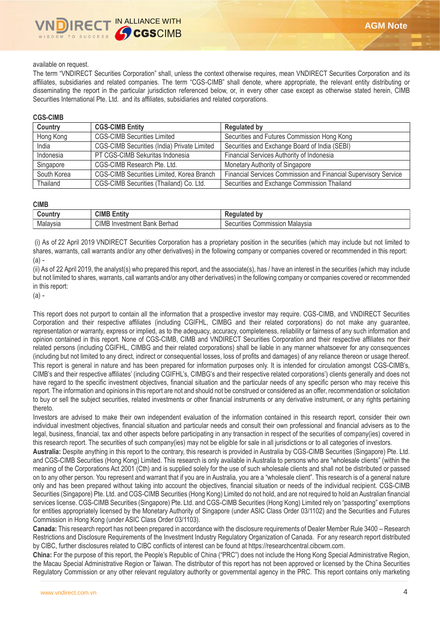#### available on request.

The term "VNDIRECT Securities Corporation" shall, unless the context otherwise requires, mean VNDIRECT Securities Corporation and its affiliates, subsidiaries and related companies. The term "CGS-CIMB" shall denote, where appropriate, the relevant entity distributing or disseminating the report in the particular jurisdiction referenced below, or, in every other case except as otherwise stated herein, CIMB Securities International Pte. Ltd. and its affiliates, subsidiaries and related corporations.

#### **CGS-CIMB**

| Country     | <b>CGS-CIMB Entity</b>                      | <b>Regulated by</b>                                             |
|-------------|---------------------------------------------|-----------------------------------------------------------------|
| Hong Kong   | <b>CGS-CIMB Securities Limited</b>          | Securities and Futures Commission Hong Kong                     |
| India       | CGS-CIMB Securities (India) Private Limited | Securities and Exchange Board of India (SEBI)                   |
| Indonesia   | PT CGS-CIMB Sekuritas Indonesia             | Financial Services Authority of Indonesia                       |
| Singapore   | CGS-CIMB Research Pte. Ltd.                 | Monetary Authority of Singapore                                 |
| South Korea | CGS-CIMB Securities Limited, Korea Branch   | Financial Services Commission and Financial Supervisory Service |
| Thailand    | CGS-CIMB Securities (Thailand) Co. Ltd.     | Securities and Exchange Commission Thailand                     |

#### **CIMB**

| ountr    | <b>CIMB</b><br>$\overline{1}$<br>Entity  | b٧<br>.<br>iulated<br>$\cdots$              |
|----------|------------------------------------------|---------------------------------------------|
| Malaysia | <b>CIMB</b> Investment<br>Berhad<br>Bank | Malavsia<br>ommission<br>Securities<br>៶៸៶៸ |

(i) As of 22 April 2019 VNDIRECT Securities Corporation has a proprietary position in the securities (which may include but not limited to shares, warrants, call warrants and/or any other derivatives) in the following company or companies covered or recommended in this report: (a) -

(ii) As of 22 April 2019, the analyst(s) who prepared this report, and the associate(s), has / have an interest in the securities (which may include but not limited to shares, warrants, call warrants and/or any other derivatives) in the following company or companies covered or recommended in this report:

(a) -

This report does not purport to contain all the information that a prospective investor may require. CGS-CIMB, and VNDIRECT Securities Corporation and their respective affiliates (including CGIFHL, CIMBG and their related corporations) do not make any guarantee, representation or warranty, express or implied, as to the adequacy, accuracy, completeness, reliability or fairness of any such information and opinion contained in this report. None of CGS-CIMB, CIMB and VNDIRECT Securities Corporation and their respective affiliates nor their related persons (including CGIFHL, CIMBG and their related corporations) shall be liable in any manner whatsoever for any consequences (including but not limited to any direct, indirect or consequential losses, loss of profits and damages) of any reliance thereon or usage thereof. This report is general in nature and has been prepared for information purposes only. It is intended for circulation amongst CGS-CIMB's, CIMB's and their respective affiliates' (including CGIFHL's, CIMBG's and their respective related corporations') clients generally and does not have regard to the specific investment objectives, financial situation and the particular needs of any specific person who may receive this report. The information and opinions in this report are not and should not be construed or considered as an offer, recommendation or solicitation to buy or sell the subject securities, related investments or other financial instruments or any derivative instrument, or any rights pertaining thereto.

Investors are advised to make their own independent evaluation of the information contained in this research report, consider their own individual investment objectives, financial situation and particular needs and consult their own professional and financial advisers as to the legal, business, financial, tax and other aspects before participating in any transaction in respect of the securities of company(ies) covered in this research report. The securities of such company(ies) may not be eligible for sale in all jurisdictions or to all categories of investors.

**Australia:** Despite anything in this report to the contrary, this research is provided in Australia by CGS-CIMB Securities (Singapore) Pte. Ltd. and CGS-CIMB Securities (Hong Kong) Limited. This research is only available in Australia to persons who are "wholesale clients" (within the meaning of the Corporations Act 2001 (Cth) and is supplied solely for the use of such wholesale clients and shall not be distributed or passed on to any other person. You represent and warrant that if you are in Australia, you are a "wholesale client". This research is of a general nature only and has been prepared without taking into account the objectives, financial situation or needs of the individual recipient. CGS-CIMB Securities (Singapore) Pte. Ltd. and CGS-CIMB Securities (Hong Kong) Limited do not hold, and are not required to hold an Australian financial services license. CGS-CIMB Securities (Singapore) Pte. Ltd. and CGS-CIMB Securities (Hong Kong) Limited rely on "passporting" exemptions for entities appropriately licensed by the Monetary Authority of Singapore (under ASIC Class Order 03/1102) and the Securities and Futures Commission in Hong Kong (under ASIC Class Order 03/1103).

**Canada:** This research report has not been prepared in accordance with the disclosure requirements of Dealer Member Rule 3400 – Research Restrictions and Disclosure Requirements of the Investment Industry Regulatory Organization of Canada. For any research report distributed by CIBC, further disclosures related to CIBC conflicts of interest can be found at https://researchcentral.cibcwm.com.

**China:** For the purpose of this report, the People's Republic of China ("PRC") does not include the Hong Kong Special Administrative Region, the Macau Special Administrative Region or Taiwan. The distributor of this report has not been approved or licensed by the China Securities Regulatory Commission or any other relevant regulatory authority or governmental agency in the PRC. This report contains only marketing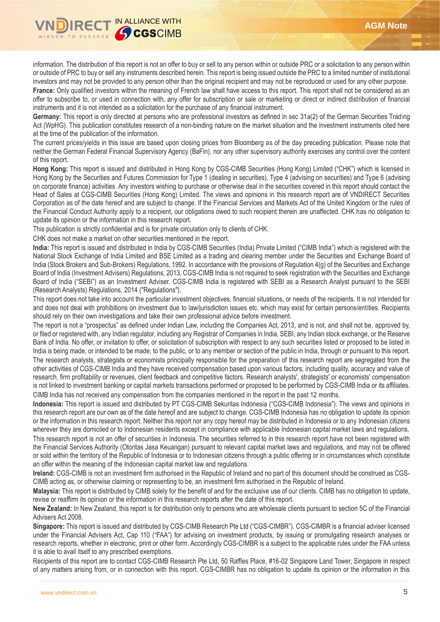

information. The distribution of this report is not an offer to buy or sell to any person within or outside PRC or a solicitation to any person within or outside of PRC to buy or sell any instruments described herein. This report is being issued outside the PRC to a limited number of institutional investors and may not be provided to any person other than the original recipient and may not be reproduced or used for any other purpose. **France:** Only qualified investors within the meaning of French law shall have access to this report. This report shall not be considered as an offer to subscribe to, or used in connection with, any offer for subscription or sale or marketing or direct or indirect distribution of financial instruments and it is not intended as a solicitation for the purchase of any financial instrument.

**Germany:** This report is only directed at persons who are professional investors as defined in sec 31a(2) of the German Securities Trading Act (WpHG). This publication constitutes research of a non-binding nature on the market situation and the investment instruments cited here at the time of the publication of the information.

The current prices/yields in this issue are based upon closing prices from Bloomberg as of the day preceding publication. Please note that neither the German Federal Financial Supervisory Agency (BaFin), nor any other supervisory authority exercises any control over the content of this report.

**Hong Kong:** This report is issued and distributed in Hong Kong by CGS-CIMB Securities (Hong Kong) Limited ("CHK") which is licensed in Hong Kong by the Securities and Futures Commission for Type 1 (dealing in securities), Type 4 (advising on securities) and Type 6 (advising on corporate finance) activities. Any investors wishing to purchase or otherwise deal in the securities covered in this report should contact the Head of Sales at CGS-CIMB Securities (Hong Kong) Limited. The views and opinions in this research report are of VNDIRECT Securities Corporation as of the date hereof and are subject to change. If the Financial Services and Markets Act of the United Kingdom or the rules of the Financial Conduct Authority apply to a recipient, our obligations owed to such recipient therein are unaffected. CHK has no obligation to update its opinion or the information in this research report.

This publication is strictly confidential and is for private circulation only to clients of CHK.

CHK does not make a market on other securities mentioned in the report.

**India:** This report is issued and distributed in India by CGS-CIMB Securities (India) Private Limited ("CIMB India") which is registered with the National Stock Exchange of India Limited and BSE Limited as a trading and clearing member under the Securities and Exchange Board of India (Stock Brokers and Sub-Brokers) Regulations, 1992. In accordance with the provisions of Regulation 4(g) of the Securities and Exchange Board of India (Investment Advisers) Regulations, 2013, CGS-CIMB India is not required to seek registration with the Securities and Exchange Board of India ("SEBI") as an Investment Adviser. CGS-CIMB India is registered with SEBI as a Research Analyst pursuant to the SEBI (Research Analysts) Regulations, 2014 ("Regulations").

This report does not take into account the particular investment objectives, financial situations, or needs of the recipients. It is not intended for and does not deal with prohibitions on investment due to law/jurisdiction issues etc. which may exist for certain persons/entities. Recipients should rely on their own investigations and take their own professional advice before investment.

The report is not a "prospectus" as defined under Indian Law, including the Companies Act, 2013, and is not, and shall not be, approved by, or filed or registered with, any Indian regulator, including any Registrar of Companies in India, SEBI, any Indian stock exchange, or the Reserve Bank of India. No offer, or invitation to offer, or solicitation of subscription with respect to any such securities listed or proposed to be listed in India is being made, or intended to be made, to the public, or to any member or section of the public in India, through or pursuant to this report. The research analysts, strategists or economists principally responsible for the preparation of this research report are segregated from the other activities of CGS-CIMB India and they have received compensation based upon various factors, including quality, accuracy and value of research, firm profitability or revenues, client feedback and competitive factors. Research analysts', strategists' or economists' compensation is not linked to investment banking or capital markets transactions performed or proposed to be performed by CGS-CIMB India or its affiliates. CIMB India has not received any compensation from the companies mentioned in the report in the past 12 months.

**Indonesia:** This report is issued and distributed by PT CGS-CIMB Sekuritas Indonesia ("CGS-CIMB Indonesia"). The views and opinions in this research report are our own as of the date hereof and are subject to change. CGS-CIMB Indonesia has no obligation to update its opinion or the information in this research report. Neither this report nor any copy hereof may be distributed in Indonesia or to any Indonesian citizens wherever they are domiciled or to Indonesian residents except in compliance with applicable Indonesian capital market laws and regulations. This research report is not an offer of securities in Indonesia. The securities referred to in this research report have not been registered with the Financial Services Authority (Otoritas Jasa Keuangan) pursuant to relevant capital market laws and regulations, and may not be offered or sold within the territory of the Republic of Indonesia or to Indonesian citizens through a public offering or in circumstances which constitute an offer within the meaning of the Indonesian capital market law and regulations.

**Ireland:** CGS-CIMB is not an investment firm authorised in the Republic of Ireland and no part of this document should be construed as CGS-CIMB acting as, or otherwise claiming or representing to be, an investment firm authorised in the Republic of Ireland.

**Malaysia:** This report is distributed by CIMB solely for the benefit of and for the exclusive use of our clients. CIMB has no obligation to update, revise or reaffirm its opinion or the information in this research reports after the date of this report.

**New Zealand:** In New Zealand, this report is for distribution only to persons who are wholesale clients pursuant to section 5C of the Financial Advisers Act 2008.

**Singapore:** This report is issued and distributed by CGS-CIMB Research Pte Ltd ("CGS-CIMBR"). CGS-CIMBR is a financial adviser licensed under the Financial Advisers Act, Cap 110 ("FAA") for advising on investment products, by issuing or promulgating research analyses or research reports, whether in electronic, print or other form. Accordingly CGS-CIMBR is a subject to the applicable rules under the FAA unless it is able to avail itself to any prescribed exemptions.

Recipients of this report are to contact CGS-CIMB Research Pte Ltd, 50 Raffles Place, #16-02 Singapore Land Tower, Singapore in respect of any matters arising from, or in connection with this report. CGS-CIMBR has no obligation to update its opinion or the information in this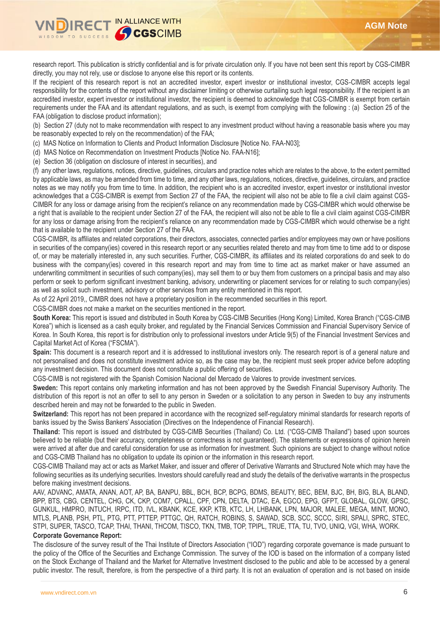

research report. This publication is strictly confidential and is for private circulation only. If you have not been sent this report by CGS-CIMBR directly, you may not rely, use or disclose to anyone else this report or its contents.

If the recipient of this research report is not an accredited investor, expert investor or institutional investor, CGS-CIMBR accepts legal responsibility for the contents of the report without any disclaimer limiting or otherwise curtailing such legal responsibility. If the recipient is an accredited investor, expert investor or institutional investor, the recipient is deemed to acknowledge that CGS-CIMBR is exempt from certain requirements under the FAA and its attendant regulations, and as such, is exempt from complying with the following : (a) Section 25 of the FAA (obligation to disclose product information);

(b) Section 27 (duty not to make recommendation with respect to any investment product without having a reasonable basis where you may be reasonably expected to rely on the recommendation) of the FAA;

(c) MAS Notice on Information to Clients and Product Information Disclosure [Notice No. FAA-N03];

(d) MAS Notice on Recommendation on Investment Products [Notice No. FAA-N16];

(e) Section 36 (obligation on disclosure of interest in securities), and

(f) any other laws, regulations, notices, directive, guidelines, circulars and practice notes which are relates to the above, to the extent permitted by applicable laws, as may be amended from time to time, and any other laws, regulations, notices, directive, guidelines, circulars, and practice notes as we may notify you from time to time. In addition, the recipient who is an accredited investor, expert investor or institutional investor acknowledges that a CGS-CIMBR is exempt from Section 27 of the FAA, the recipient will also not be able to file a civil claim against CGS-CIMBR for any loss or damage arising from the recipient's reliance on any recommendation made by CGS-CIMBR which would otherwise be a right that is available to the recipient under Section 27 of the FAA, the recipient will also not be able to file a civil claim against CGS-CIMBR for any loss or damage arising from the recipient's reliance on any recommendation made by CGS-CIMBR which would otherwise be a right that is available to the recipient under Section 27 of the FAA.

CGS-CIMBR, its affiliates and related corporations, their directors, associates, connected parties and/or employees may own or have positions in securities of the company(ies) covered in this research report or any securities related thereto and may from time to time add to or dispose of, or may be materially interested in, any such securities. Further, CGS-CIMBR, its affiliates and its related corporations do and seek to do business with the company(ies) covered in this research report and may from time to time act as market maker or have assumed an underwriting commitment in securities of such company(ies), may sell them to or buy them from customers on a principal basis and may also perform or seek to perform significant investment banking, advisory, underwriting or placement services for or relating to such company(ies) as well as solicit such investment, advisory or other services from any entity mentioned in this report.

As of 22 April 2019,, CIMBR does not have a proprietary position in the recommended securities in this report.

CGS-CIMBR does not make a market on the securities mentioned in the report.

**South Korea:** This report is issued and distributed in South Korea by CGS-CIMB Securities (Hong Kong) Limited, Korea Branch ("CGS-CIMB Korea") which is licensed as a cash equity broker, and regulated by the Financial Services Commission and Financial Supervisory Service of Korea. In South Korea, this report is for distribution only to professional investors under Article 9(5) of the Financial Investment Services and Capital Market Act of Korea ("FSCMA").

**Spain:** This document is a research report and it is addressed to institutional investors only. The research report is of a general nature and not personalised and does not constitute investment advice so, as the case may be, the recipient must seek proper advice before adopting any investment decision. This document does not constitute a public offering of securities.

CGS-CIMB is not registered with the Spanish Comision Nacional del Mercado de Valores to provide investment services.

**Sweden:** This report contains only marketing information and has not been approved by the Swedish Financial Supervisory Authority. The distribution of this report is not an offer to sell to any person in Sweden or a solicitation to any person in Sweden to buy any instruments described herein and may not be forwarded to the public in Sweden.

**Switzerland:** This report has not been prepared in accordance with the recognized self-regulatory minimal standards for research reports of banks issued by the Swiss Bankers' Association (Directives on the Independence of Financial Research).

**Thailand:** This report is issued and distributed by CGS-CIMB Securities (Thailand) Co. Ltd. ("CGS-CIMB Thailand") based upon sources believed to be reliable (but their accuracy, completeness or correctness is not guaranteed). The statements or expressions of opinion herein were arrived at after due and careful consideration for use as information for investment. Such opinions are subject to change without notice and CGS-CIMB Thailand has no obligation to update its opinion or the information in this research report.

CGS-CIMB Thailand may act or acts as Market Maker, and issuer and offerer of Derivative Warrants and Structured Note which may have the following securities as its underlying securities. Investors should carefully read and study the details of the derivative warrants in the prospectus before making investment decisions.

AAV, ADVANC, AMATA, ANAN, AOT, AP, BA, BANPU, BBL, BCH, BCP, BCPG, BDMS, BEAUTY, BEC, BEM, BJC, BH, BIG, BLA, BLAND, BPP, BTS, CBG, CENTEL, CHG, CK, CKP, COM7, CPALL, CPF, CPN, DELTA, DTAC, EA, EGCO, EPG, GFPT, GLOBAL, GLOW, GPSC, GUNKUL, HMPRO, INTUCH, IRPC, ITD, IVL, KBANK, KCE, KKP, KTB, KTC, LH, LHBANK, LPN, MAJOR, MALEE, MEGA, MINT, MONO, MTLS, PLANB, PSH, PTL, PTG, PTT, PTTEP, PTTGC, QH, RATCH, ROBINS, S, SAWAD, SCB, SCC, SCCC, SIRI, SPALI, SPRC, STEC, STPI, SUPER, TASCO, TCAP, THAI, THANI, THCOM, TISCO, TKN, TMB, TOP, TPIPL, TRUE, TTA, TU, TVO, UNIQ, VGI, WHA, WORK.

#### **Corporate Governance Report:**

The disclosure of the survey result of the Thai Institute of Directors Association ("IOD") regarding corporate governance is made pursuant to the policy of the Office of the Securities and Exchange Commission. The survey of the IOD is based on the information of a company listed on the Stock Exchange of Thailand and the Market for Alternative Investment disclosed to the public and able to be accessed by a general public investor. The result, therefore, is from the perspective of a third party. It is not an evaluation of operation and is not based on inside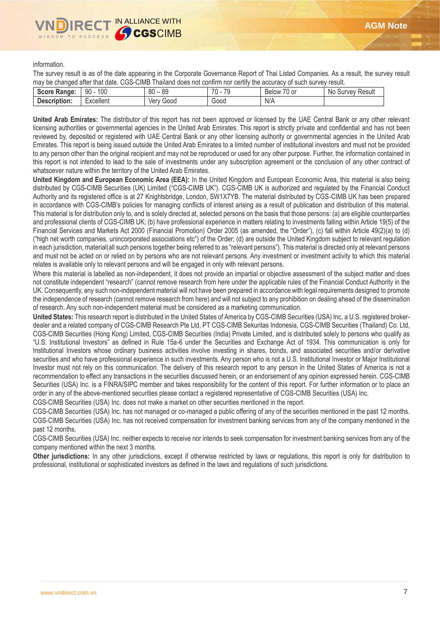#### information.

The survey result is as of the date appearing in the Corporate Governance Report of Thai Listed Companies. As a result, the survey result may be changed after that date. CGS-CIMB Thailand does not confirm nor certify the accuracy of such survey result.

| 100<br>90<br>70<br>$\overline{\phantom{a}}$<br>$\overline{\phantom{a}}$<br>0 <sup>0</sup><br>00<br>-<br>.Nc<br>- - - - -<br><b>DIDAO</b><br>$\sim$<br>ourvey<br><b>Below</b><br>Range:<br>೦೮<br>U UI<br>nu<br> |              |           |               |      |     |               |
|----------------------------------------------------------------------------------------------------------------------------------------------------------------------------------------------------------------|--------------|-----------|---------------|------|-----|---------------|
|                                                                                                                                                                                                                |              |           |               |      |     | <b>Result</b> |
| ື                                                                                                                                                                                                              | Description: | Excellent | G000<br>\/Arv | Gooc | N/A |               |

**United Arab Emirates:** The distributor of this report has not been approved or licensed by the UAE Central Bank or any other relevant licensing authorities or governmental agencies in the United Arab Emirates. This report is strictly private and confidential and has not been reviewed by, deposited or registered with UAE Central Bank or any other licensing authority or governmental agencies in the United Arab Emirates. This report is being issued outside the United Arab Emirates to a limited number of institutional investors and must not be provided to any person other than the original recipient and may not be reproduced or used for any other purpose. Further, the information contained in this report is not intended to lead to the sale of investments under any subscription agreement or the conclusion of any other contract of whatsoever nature within the territory of the United Arab Emirates.

**United Kingdom and European Economic Area (EEA):** In the United Kingdom and European Economic Area, this material is also being distributed by CGS-CIMB Securities (UK) Limited ("CGS-CIMB UK"). CGS-CIMB UK is authorized and regulated by the Financial Conduct Authority and its registered office is at 27 Knightsbridge, London, SW1X7YB. The material distributed by CGS-CIMB UK has been prepared in accordance with CGS-CIMB's policies for managing conflicts of interest arising as a result of publication and distribution of this material. This material is for distribution only to, and is solely directed at, selected persons on the basis that those persons: (a) are eligible counterparties and professional clients of CGS-CIMB UK; (b) have professional experience in matters relating to investments falling within Article 19(5) of the Financial Services and Markets Act 2000 (Financial Promotion) Order 2005 (as amended, the "Order"), (c) fall within Article 49(2)(a) to (d) ("high net worth companies, unincorporated associations etc") of the Order; (d) are outside the United Kingdom subject to relevant regulation in each jurisdiction, material(all such persons together being referred to as "relevant persons"). This material is directed only at relevant persons and must not be acted on or relied on by persons who are not relevant persons. Any investment or investment activity to which this material relates is available only to relevant persons and will be engaged in only with relevant persons.

Where this material is labelled as non-independent, it does not provide an impartial or objective assessment of the subject matter and does not constitute independent "research" (cannot remove research from here under the applicable rules of the Financial Conduct Authority in the UK. Consequently, any such non-independent material will not have been prepared in accordance with legal requirements designed to promote the independence of research (cannot remove research from here) and will not subject to any prohibition on dealing ahead of the dissemination of research. Any such non-independent material must be considered as a marketing communication.

**United States:** This research report is distributed in the United States of America by CGS-CIMB Securities (USA) Inc, a U.S. registered brokerdealer and a related company of CGS-CIMB Research Pte Ltd, PT CGS-CIMB Sekuritas Indonesia, CGS-CIMB Securities (Thailand) Co. Ltd, CGS-CIMB Securities (Hong Kong) Limited, CGS-CIMB Securities (India) Private Limited, and is distributed solely to persons who qualify as "U.S. Institutional Investors" as defined in Rule 15a-6 under the Securities and Exchange Act of 1934. This communication is only for Institutional Investors whose ordinary business activities involve investing in shares, bonds, and associated securities and/or derivative securities and who have professional experience in such investments. Any person who is not a U.S. Institutional Investor or Major Institutional Investor must not rely on this communication. The delivery of this research report to any person in the United States of America is not a recommendation to effect any transactions in the securities discussed herein, or an endorsement of any opinion expressed herein. CGS-CIMB Securities (USA) Inc. is a FINRA/SIPC member and takes responsibility for the content of this report. For further information or to place an order in any of the above-mentioned securities please contact a registered representative of CGS-CIMB Securities (USA) Inc.

CGS-CIMB Securities (USA) Inc. does not make a market on other securities mentioned in the report.

CGS-CIMB Securities (USA) Inc. has not managed or co-managed a public offering of any of the securities mentioned in the past 12 months. CGS-CIMB Securities (USA) Inc. has not received compensation for investment banking services from any of the company mentioned in the past 12 months.

CGS-CIMB Securities (USA) Inc. neither expects to receive nor intends to seek compensation for investment banking services from any of the company mentioned within the next 3 months.

**Other jurisdictions:** In any other jurisdictions, except if otherwise restricted by laws or regulations, this report is only for distribution to professional, institutional or sophisticated investors as defined in the laws and regulations of such jurisdictions.